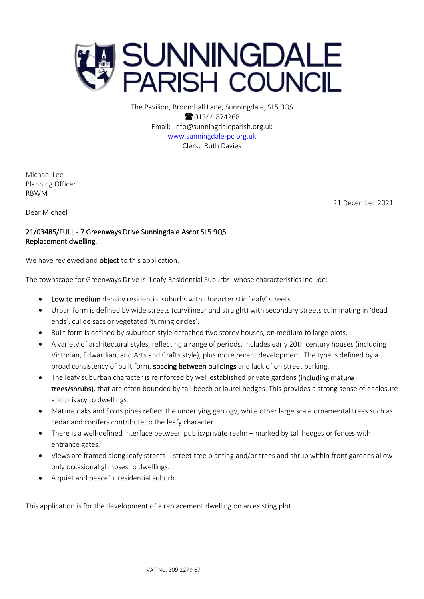

The Pavilion, Broomhall Lane, Sunningdale, SL5 0QS **8** 01344 874268 Email: info@sunningdaleparish.org.uk [www.sunningdale-pc.org.uk](http://www.sunningdale-pc.org.uk/) Clerk: Ruth Davies

Michael Lee Planning Officer RBWM

Dear Michael

21 December 2021

# 21/03485/FULL - 7 Greenways Drive Sunningdale Ascot SL5 9QS Replacement dwelling.

We have reviewed and **object** to this application.

The townscape for Greenways Drive is 'Leafy Residential Suburbs' whose characteristics include:-

- Low to medium density residential suburbs with characteristic 'leafy' streets.
- Urban form is defined by wide streets (curvilinear and straight) with secondary streets culminating in 'dead ends', cul de sacs or vegetated 'turning circles'.
- Built form is defined by suburban style detached two storey houses, on medium to large plots.
- A variety of architectural styles, reflecting a range of periods, includes early 20th century houses (including Victorian, Edwardian, and Arts and Crafts style), plus more recent development. The type is defined by a broad consistency of built form, spacing between buildings and lack of on street parking.
- The leafy suburban character is reinforced by well established private gardens (including mature trees/shrubs), that are often bounded by tall beech or laurel hedges. This provides a strong sense of enclosure and privacy to dwellings
- Mature oaks and Scots pines reflect the underlying geology, while other large scale ornamental trees such as cedar and conifers contribute to the leafy character.
- There is a well-defined interface between public/private realm marked by tall hedges or fences with entrance gates.
- Views are framed along leafy streets street tree planting and/or trees and shrub within front gardens allow only occasional glimpses to dwellings.
- A quiet and peaceful residential suburb.

This application is for the development of a replacement dwelling on an existing plot.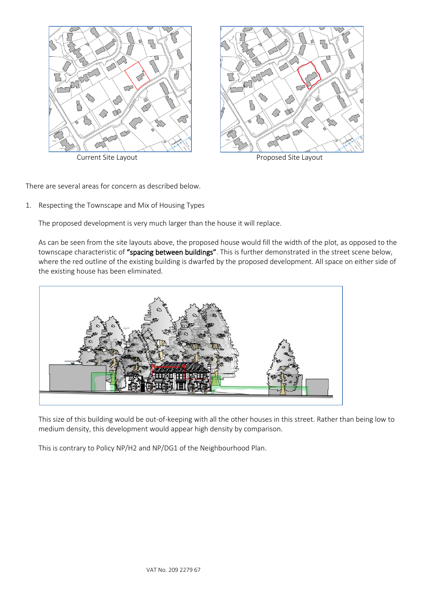



Current Site Layout **Proposed Site Layout** 

There are several areas for concern as described below.

1. Respecting the Townscape and Mix of Housing Types

The proposed development is very much larger than the house it will replace.

As can be seen from the site layouts above, the proposed house would fill the width of the plot, as opposed to the townscape characteristic of "spacing between buildings". This is further demonstrated in the street scene below, where the red outline of the existing building is dwarfed by the proposed development. All space on either side of the existing house has been eliminated.



This size of this building would be out-of-keeping with all the other houses in this street. Rather than being low to medium density, this development would appear high density by comparison.

This is contrary to Policy NP/H2 and NP/DG1 of the Neighbourhood Plan.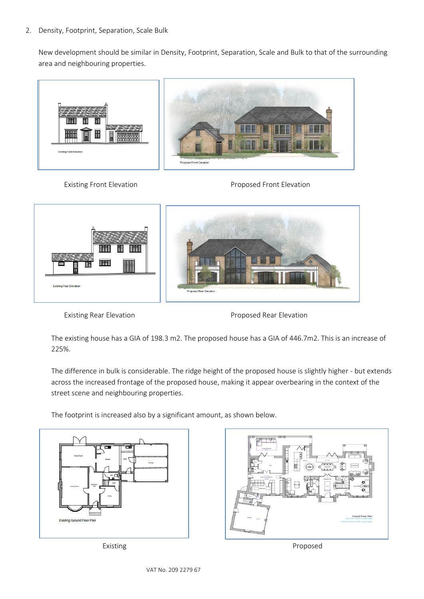#### 2. Density, Footprint, Separation, Scale Bulk

New development should be similar in Density, Footprint, Separation, Scale and Bulk to that of the surrounding area and neighbouring properties.









Existing Rear Elevation **Existing Rear Elevation** 

The existing house has a GIA of 198.3 m2. The proposed house has a GIA of 446.7m2. This is an increase of 225%.

The difference in bulk is considerable. The ridge height of the proposed house is slightly higher - but extends across the increased frontage of the proposed house, making it appear overbearing in the context of the street scene and neighbouring properties.

The footprint is increased also by a significant amount, as shown below.





Existing **Proposed**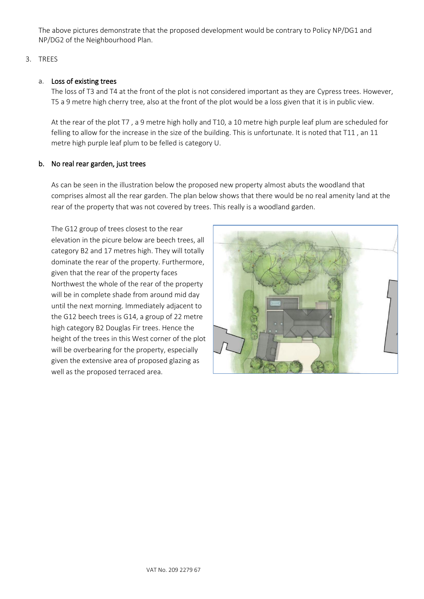The above pictures demonstrate that the proposed development would be contrary to Policy NP/DG1 and NP/DG2 of the Neighbourhood Plan.

### 3. TREES

#### a. Loss of existing trees

The loss of T3 and T4 at the front of the plot is not considered important as they are Cypress trees. However, T5 a 9 metre high cherry tree, also at the front of the plot would be a loss given that it is in public view.

At the rear of the plot T7 , a 9 metre high holly and T10, a 10 metre high purple leaf plum are scheduled for felling to allow for the increase in the size of the building. This is unfortunate. It is noted that T11 , an 11 metre high purple leaf plum to be felled is category U.

#### b. No real rear garden, just trees

As can be seen in the illustration below the proposed new property almost abuts the woodland that comprises almost all the rear garden. The plan below shows that there would be no real amenity land at the rear of the property that was not covered by trees. This really is a woodland garden.

The G12 group of trees closest to the rear elevation in the picure below are beech trees, all category B2 and 17 metres high. They will totally dominate the rear of the property. Furthermore, given that the rear of the property faces Northwest the whole of the rear of the property will be in complete shade from around mid day until the next morning. Immediately adjacent to the G12 beech trees is G14, a group of 22 metre high category B2 Douglas Fir trees. Hence the height of the trees in this West corner of the plot will be overbearing for the property, especially given the extensive area of proposed glazing as well as the proposed terraced area.